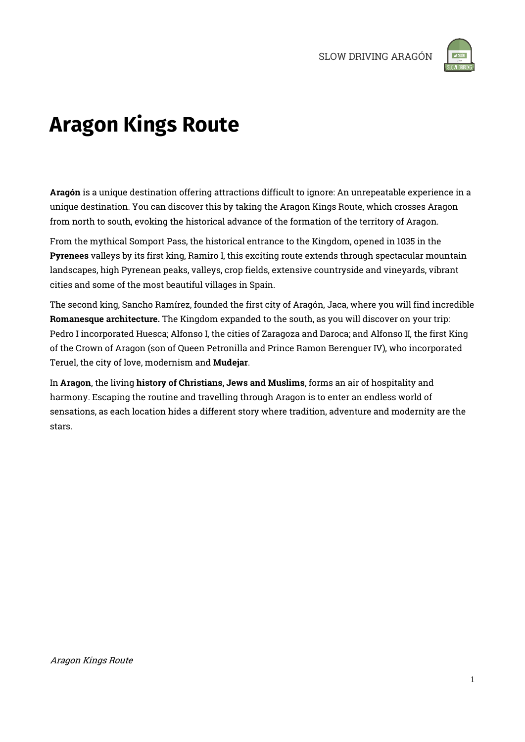

# **Aragon Kings Route**

Aragón is a unique destination offering attractions difficult to ignore: An unrepeatable experience in a unique destination. You can discover this by taking the Aragon Kings Route, which crosses Aragon from north to south, evoking the historical advance of the formation of the territory of Aragon.

From the mythical Somport Pass, the historical entrance to the Kingdom, opened in 1035 in the Pyrenees valleys by its first king, Ramiro I, this exciting route extends through spectacular mountain landscapes, high Pyrenean peaks, valleys, crop fields, extensive countryside and vineyards, vibrant cities and some of the most beautiful villages in Spain.

The second king, Sancho Ramírez, founded the first city of Aragón, Jaca, where you will find incredible Romanesque architecture. The Kingdom expanded to the south, as you will discover on your trip: Pedro I incorporated Huesca; Alfonso I, the cities of Zaragoza and Daroca; and Alfonso II, the first King of the Crown of Aragon (son of Queen Petronilla and Prince Ramon Berenguer IV), who incorporated Teruel, the city of love, modernism and Mudejar.

In Aragon, the living history of Christians, Jews and Muslims, forms an air of hospitality and harmony. Escaping the routine and travelling through Aragon is to enter an endless world of sensations, as each location hides a different story where tradition, adventure and modernity are the stars.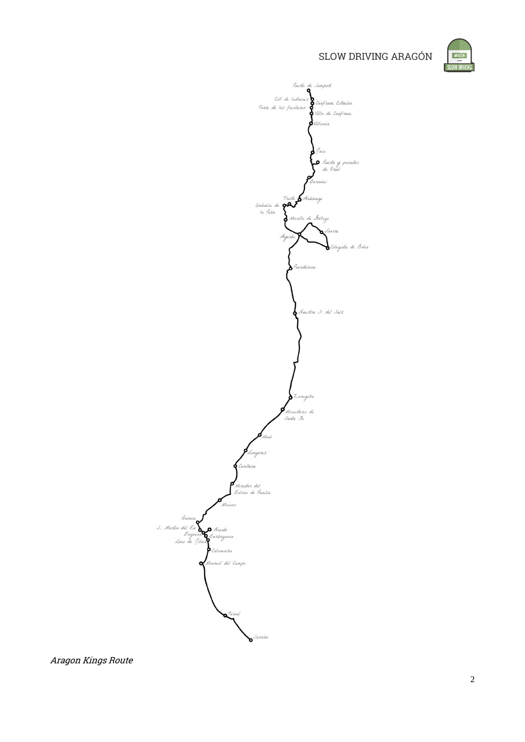

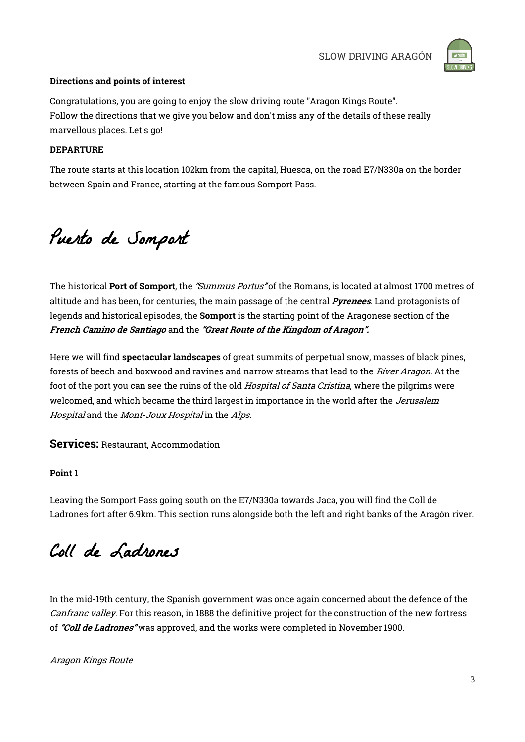

### Directions and points of interest

Congratulations, you are going to enjoy the slow driving route "Aragon Kings Route". Follow the directions that we give you below and don't miss any of the details of these really marvellous places. Let's go!

### DEPARTURE

The route starts at this location 102km from the capital, Huesca, on the road E7/N330a on the border between Spain and France, starting at the famous Somport Pass.

Puerto de Somport

The historical Port of Somport, the "Summus Portus" of the Romans, is located at almost 1700 metres of altitude and has been, for centuries, the main passage of the central *Pyrenees*. Land protagonists of legends and historical episodes, the Somport is the starting point of the Aragonese section of the French Camino de Santiago and the "Great Route of the Kingdom of Aragon".

Here we will find spectacular landscapes of great summits of perpetual snow, masses of black pines, forests of beech and boxwood and ravines and narrow streams that lead to the River Aragon. At the foot of the port you can see the ruins of the old *Hospital of Santa Cristina*, where the pilgrims were welcomed, and which became the third largest in importance in the world after the Jerusalem Hospital and the Mont-Joux Hospital in the Alps.

Services: Restaurant, Accommodation

### Point 1

Leaving the Somport Pass going south on the E7/N330a towards Jaca, you will find the Coll de Ladrones fort after 6.9km. This section runs alongside both the left and right banks of the Aragón river.

Coll de Ladrones

In the mid-19th century, the Spanish government was once again concerned about the defence of the Canfranc valley. For this reason, in 1888 the definitive project for the construction of the new fortress of "Coll de Ladrones" was approved, and the works were completed in November 1900.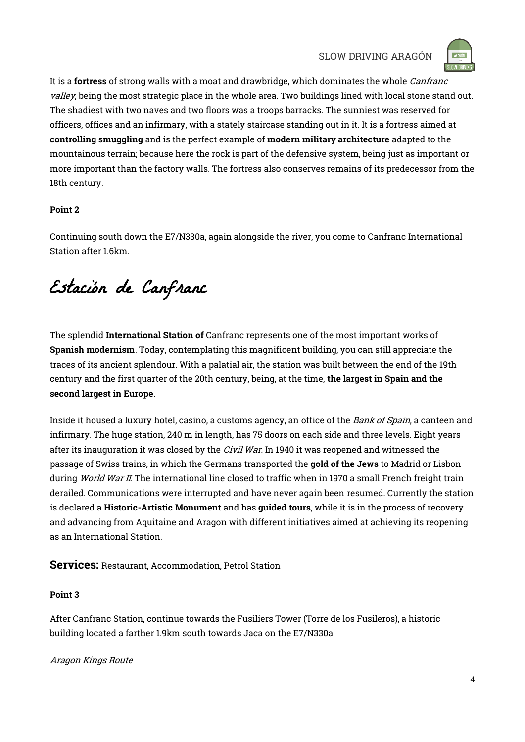

It is a fortress of strong walls with a moat and drawbridge, which dominates the whole *Canfranc* valley, being the most strategic place in the whole area. Two buildings lined with local stone stand out. The shadiest with two naves and two floors was a troops barracks. The sunniest was reserved for officers, offices and an infirmary, with a stately staircase standing out in it. It is a fortress aimed at controlling smuggling and is the perfect example of modern military architecture adapted to the mountainous terrain; because here the rock is part of the defensive system, being just as important or more important than the factory walls. The fortress also conserves remains of its predecessor from the 18th century.

### Point 2

Continuing south down the E7/N330a, again alongside the river, you come to Canfranc International Station after 1.6km.

Estación de Canfranc

The splendid International Station of Canfranc represents one of the most important works of Spanish modernism. Today, contemplating this magnificent building, you can still appreciate the traces of its ancient splendour. With a palatial air, the station was built between the end of the 19th century and the first quarter of the 20th century, being, at the time, the largest in Spain and the second largest in Europe.

Inside it housed a luxury hotel, casino, a customs agency, an office of the Bank of Spain, a canteen and infirmary. The huge station, 240 m in length, has 75 doors on each side and three levels. Eight years after its inauguration it was closed by the *Civil War*. In 1940 it was reopened and witnessed the passage of Swiss trains, in which the Germans transported the gold of the Jews to Madrid or Lisbon during World War II. The international line closed to traffic when in 1970 a small French freight train derailed. Communications were interrupted and have never again been resumed. Currently the station is declared a Historic-Artistic Monument and has guided tours, while it is in the process of recovery and advancing from Aquitaine and Aragon with different initiatives aimed at achieving its reopening as an International Station.

Services: Restaurant, Accommodation, Petrol Station

### Point 3

After Canfranc Station, continue towards the Fusiliers Tower (Torre de los Fusileros), a historic building located a farther 1.9km south towards Jaca on the E7/N330a.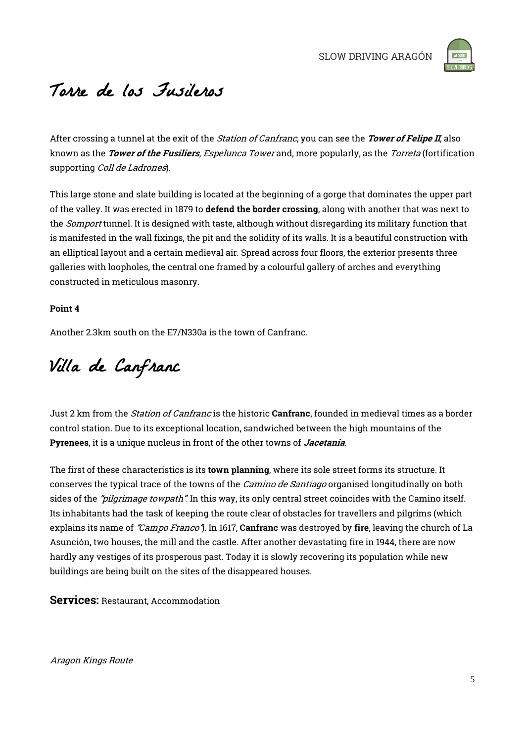

# Torre de los Fusileros

After crossing a tunnel at the exit of the *Station of Canfranc*, you can see the *Tower of Felipe II*, also known as the *Tower of the Fusiliers, Espelunca Tower* and, more popularly, as the *Torreta* (fortification supporting Coll de Ladrones).

This large stone and slate building is located at the beginning of a gorge that dominates the upper part of the valley. It was erected in 1879 to defend the border crossing, along with another that was next to the *Somport* tunnel. It is designed with taste, although without disregarding its military function that is manifested in the wall fixings, the pit and the solidity of its walls. It is a beautiful construction with an elliptical layout and a certain medieval air. Spread across four floors, the exterior presents three galleries with loopholes, the central one framed by a colourful gallery of arches and everything constructed in meticulous masonry.

### Point 4

Another 2.3km south on the E7/N330a is the town of Canfranc.

Villa de Canfranc

Just 2 km from the *Station of Canfranc* is the historic **Canfranc**, founded in medieval times as a border control station. Due to its exceptional location, sandwiched between the high mountains of the Pyrenees, it is a unique nucleus in front of the other towns of *Jacetania*.

The first of these characteristics is its **town planning**, where its sole street forms its structure. It conserves the typical trace of the towns of the *Camino de Santiago* organised longitudinally on both sides of the *"pilgrimage towpath"*. In this way, its only central street coincides with the Camino itself. Its inhabitants had the task of keeping the route clear of obstacles for travellers and pilgrims (which explains its name of "Campo Franco"). In 1617, Canfranc was destroyed by fire, leaving the church of La Asunción, two houses, the mill and the castle. After another devastating fire in 1944, there are now hardly any vestiges of its prosperous past. Today it is slowly recovering its population while new buildings are being built on the sites of the disappeared houses.

Services: Restaurant, Accommodation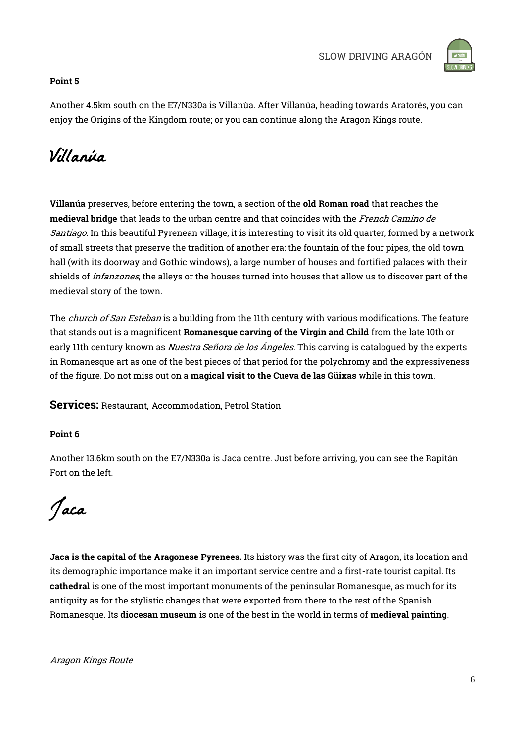

### Point 5

Another 4.5km south on the E7/N330a is Villanúa. After Villanúa, heading towards Aratorés, you can enjoy the Origins of the Kingdom route; or you can continue along the Aragon Kings route.

## Villanúa

Villanúa preserves, before entering the town, a section of the old Roman road that reaches the medieval bridge that leads to the urban centre and that coincides with the French Camino de Santiago. In this beautiful Pyrenean village, it is interesting to visit its old quarter, formed by a network of small streets that preserve the tradition of another era: the fountain of the four pipes, the old town hall (with its doorway and Gothic windows), a large number of houses and fortified palaces with their shields of *infanzones*, the alleys or the houses turned into houses that allow us to discover part of the medieval story of the town.

The *church of San Esteban* is a building from the 11th century with various modifications. The feature that stands out is a magnificent Romanesque carving of the Virgin and Child from the late 10th or early 11th century known as *Nuestra Señora de los Ángeles*. This carving is catalogued by the experts in Romanesque art as one of the best pieces of that period for the polychromy and the expressiveness of the figure. Do not miss out on a magical visit to the Cueva de las Güixas while in this town.

Services: Restaurant, Accommodation, Petrol Station

### Point 6

Another 13.6km south on the E7/N330a is Jaca centre. Just before arriving, you can see the Rapitán Fort on the left.

Jaca

Jaca is the capital of the Aragonese Pyrenees. Its history was the first city of Aragon, its location and its demographic importance make it an important service centre and a first-rate tourist capital. Its cathedral is one of the most important monuments of the peninsular Romanesque, as much for its antiquity as for the stylistic changes that were exported from there to the rest of the Spanish Romanesque. Its diocesan museum is one of the best in the world in terms of medieval painting.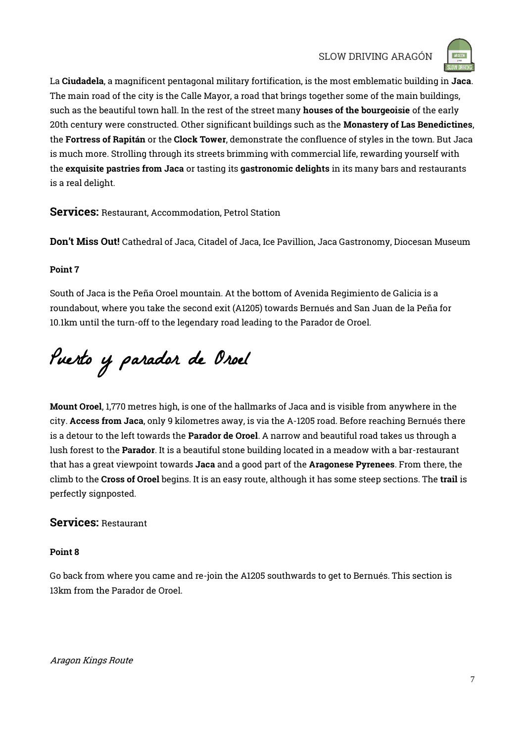

La Ciudadela, a magnificent pentagonal military fortification, is the most emblematic building in Jaca. The main road of the city is the Calle Mayor, a road that brings together some of the main buildings, such as the beautiful town hall. In the rest of the street many houses of the bourgeoisie of the early 20th century were constructed. Other significant buildings such as the Monastery of Las Benedictines, the Fortress of Rapitán or the Clock Tower, demonstrate the confluence of styles in the town. But Jaca is much more. Strolling through its streets brimming with commercial life, rewarding yourself with the exquisite pastries from Jaca or tasting its gastronomic delights in its many bars and restaurants is a real delight.

Services: Restaurant, Accommodation, Petrol Station

Don't Miss Out! Cathedral of Jaca, Citadel of Jaca, Ice Pavillion, Jaca Gastronomy, Diocesan Museum

### Point 7

South of Jaca is the Peña Oroel mountain. At the bottom of Avenida Regimiento de Galicia is a roundabout, where you take the second exit (A1205) towards Bernués and San Juan de la Peña for 10.1km until the turn-off to the legendary road leading to the Parador de Oroel.

Puerto y parador de Oroel

Mount Oroel, 1,770 metres high, is one of the hallmarks of Jaca and is visible from anywhere in the city. Access from Jaca, only 9 kilometres away, is via the A-1205 road. Before reaching Bernués there is a detour to the left towards the **Parador de Oroel**. A narrow and beautiful road takes us through a lush forest to the Parador. It is a beautiful stone building located in a meadow with a bar-restaurant that has a great viewpoint towards Jaca and a good part of the Aragonese Pyrenees. From there, the climb to the Cross of Oroel begins. It is an easy route, although it has some steep sections. The trail is perfectly signposted.

### Services: Restaurant

### Point 8

Go back from where you came and re-join the A1205 southwards to get to Bernués. This section is 13km from the Parador de Oroel.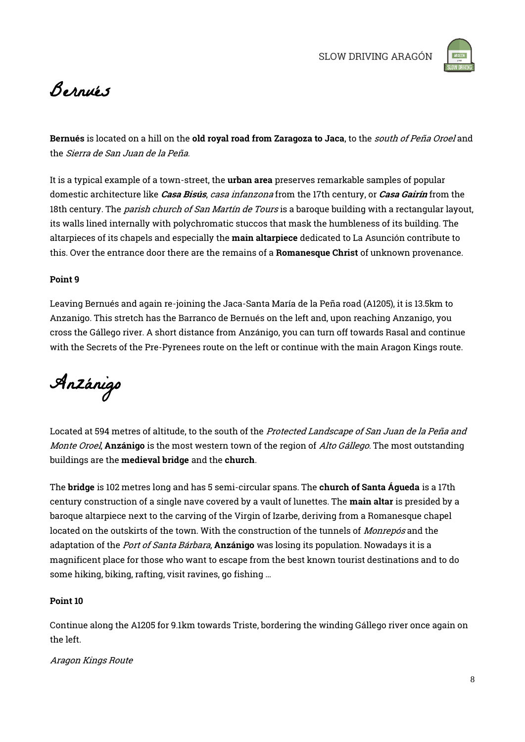

# Bernués

Bernués is located on a hill on the old royal road from Zaragoza to Jaca, to the south of Peña Oroel and the Sierra de San Juan de la Peña.

It is a typical example of a town-street, the urban area preserves remarkable samples of popular domestic architecture like *Casa Bisús, casa infanzona* from the 17th century, or *Casa Gairín* from the 18th century. The *parish church of San Martín de Tours* is a baroque building with a rectangular layout, its walls lined internally with polychromatic stuccos that mask the humbleness of its building. The altarpieces of its chapels and especially the main altarpiece dedicated to La Asunción contribute to this. Over the entrance door there are the remains of a Romanesque Christ of unknown provenance.

### Point 9

Leaving Bernués and again re-joining the Jaca-Santa María de la Peña road (A1205), it is 13.5km to Anzanigo. This stretch has the Barranco de Bernués on the left and, upon reaching Anzanigo, you cross the Gállego river. A short distance from Anzánigo, you can turn off towards Rasal and continue with the Secrets of the Pre-Pyrenees route on the left or continue with the main Aragon Kings route.

Anzánigo

Located at 594 metres of altitude, to the south of the Protected Landscape of San Juan de la Peña and Monte Oroel, **Anzánigo** is the most western town of the region of *Alto Gállego*. The most outstanding buildings are the medieval bridge and the church.

The bridge is 102 metres long and has 5 semi-circular spans. The church of Santa Águeda is a 17th century construction of a single nave covered by a vault of lunettes. The main altar is presided by a baroque altarpiece next to the carving of the Virgin of Izarbe, deriving from a Romanesque chapel located on the outskirts of the town. With the construction of the tunnels of *Monrepós* and the adaptation of the *Port of Santa Bárbara*, **Anzánigo** was losing its population. Nowadays it is a magnificent place for those who want to escape from the best known tourist destinations and to do some hiking, biking, rafting, visit ravines, go fishing …

### Point 10

Continue along the A1205 for 9.1km towards Triste, bordering the winding Gállego river once again on the left.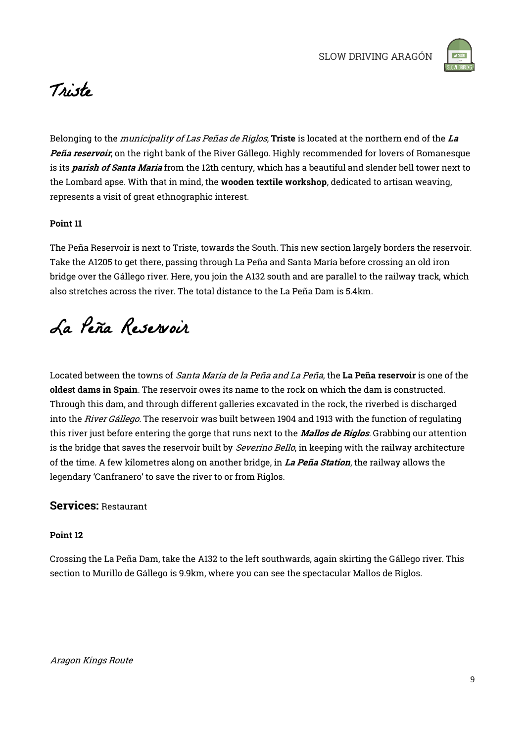

## Triste

Belonging to the *municipality of Las Peñas de Riglos*, Triste is located at the northern end of the La Peña reservoir, on the right bank of the River Gállego. Highly recommended for lovers of Romanesque is its *parish of Santa Maria* from the 12th century, which has a beautiful and slender bell tower next to the Lombard apse. With that in mind, the wooden textile workshop, dedicated to artisan weaving, represents a visit of great ethnographic interest.

### Point 11

The Peña Reservoir is next to Triste, towards the South. This new section largely borders the reservoir. Take the A1205 to get there, passing through La Peña and Santa María before crossing an old iron bridge over the Gállego river. Here, you join the A132 south and are parallel to the railway track, which also stretches across the river. The total distance to the La Peña Dam is 5.4km.

# La Peña Reservoir

Located between the towns of *Santa María de la Peña and La Peña*, the La Peña reservoir is one of the oldest dams in Spain. The reservoir owes its name to the rock on which the dam is constructed. Through this dam, and through different galleries excavated in the rock, the riverbed is discharged into the River Gállego. The reservoir was built between 1904 and 1913 with the function of regulating this river just before entering the gorge that runs next to the *Mallos de Riglos*. Grabbing our attention is the bridge that saves the reservoir built by Severino Bello, in keeping with the railway architecture of the time. A few kilometres along on another bridge, in La Peña Station, the railway allows the legendary 'Canfranero' to save the river to or from Riglos.

### Services: Restaurant

### Point 12

Crossing the La Peña Dam, take the A132 to the left southwards, again skirting the Gállego river. This section to Murillo de Gállego is 9.9km, where you can see the spectacular Mallos de Riglos.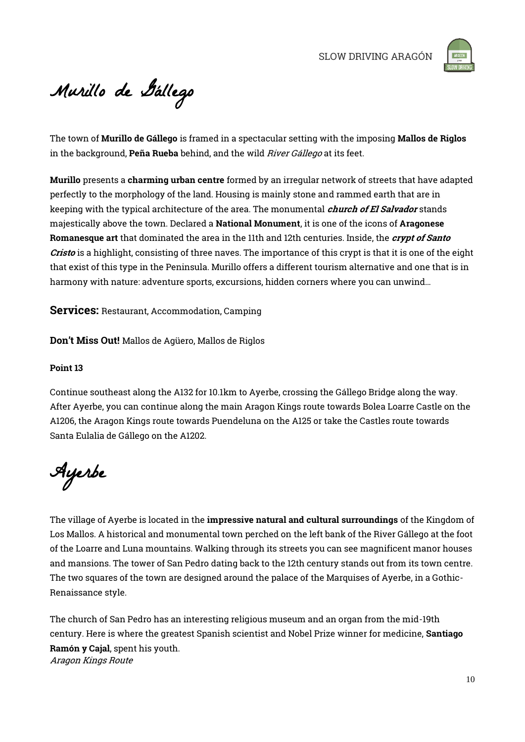

Murillo de Gállego

The town of Murillo de Gállego is framed in a spectacular setting with the imposing Mallos de Riglos in the background, Peña Rueba behind, and the wild *River Gállego* at its feet.

Murillo presents a charming urban centre formed by an irregular network of streets that have adapted perfectly to the morphology of the land. Housing is mainly stone and rammed earth that are in keeping with the typical architecture of the area. The monumental *church of El Salvador* stands majestically above the town. Declared a National Monument, it is one of the icons of Aragonese Romanesque art that dominated the area in the 11th and 12th centuries. Inside, the crypt of Santo Cristo is a highlight, consisting of three naves. The importance of this crypt is that it is one of the eight that exist of this type in the Peninsula. Murillo offers a different tourism alternative and one that is in harmony with nature: adventure sports, excursions, hidden corners where you can unwind…

**Services:** Restaurant, Accommodation, Camping

Don't Miss Out! Mallos de Agüero, Mallos de Riglos

### Point 13

Continue southeast along the A132 for 10.1km to Ayerbe, crossing the Gállego Bridge along the way. After Ayerbe, you can continue along the main Aragon Kings route towards Bolea Loarre Castle on the A1206, the Aragon Kings route towards Puendeluna on the A125 or take the Castles route towards Santa Eulalia de Gállego on the A1202.

Ayerbe

The village of Ayerbe is located in the impressive natural and cultural surroundings of the Kingdom of Los Mallos. A historical and monumental town perched on the left bank of the River Gállego at the foot of the Loarre and Luna mountains. Walking through its streets you can see magnificent manor houses and mansions. The tower of San Pedro dating back to the 12th century stands out from its town centre. The two squares of the town are designed around the palace of the Marquises of Ayerbe, in a Gothic-Renaissance style.

Aragon Kings Route The church of San Pedro has an interesting religious museum and an organ from the mid-19th century. Here is where the greatest Spanish scientist and Nobel Prize winner for medicine, Santiago Ramón y Cajal, spent his youth.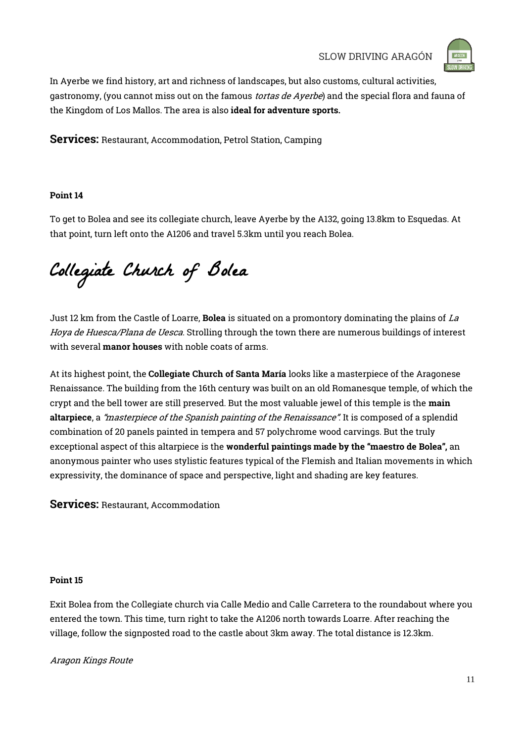

In Ayerbe we find history, art and richness of landscapes, but also customs, cultural activities, gastronomy, (you cannot miss out on the famous *tortas de Ayerbe*) and the special flora and fauna of the Kingdom of Los Mallos. The area is also ideal for adventure sports.

Services: Restaurant, Accommodation, Petrol Station, Camping

### Point 14

To get to Bolea and see its collegiate church, leave Ayerbe by the A132, going 13.8km to Esquedas. At that point, turn left onto the A1206 and travel 5.3km until you reach Bolea.

Collegiate Church of Bolea

Just 12 km from the Castle of Loarre, Bolea is situated on a promontory dominating the plains of La Hoya de Huesca/Plana de Uesca. Strolling through the town there are numerous buildings of interest with several **manor houses** with noble coats of arms.

At its highest point, the Collegiate Church of Santa María looks like a masterpiece of the Aragonese Renaissance. The building from the 16th century was built on an old Romanesque temple, of which the crypt and the bell tower are still preserved. But the most valuable jewel of this temple is the main altarpiece, a "masterpiece of the Spanish painting of the Renaissance". It is composed of a splendid combination of 20 panels painted in tempera and 57 polychrome wood carvings. But the truly exceptional aspect of this altarpiece is the wonderful paintings made by the "maestro de Bolea", an anonymous painter who uses stylistic features typical of the Flemish and Italian movements in which expressivity, the dominance of space and perspective, light and shading are key features.

Services: Restaurant, Accommodation

### Point 15

Exit Bolea from the Collegiate church via Calle Medio and Calle Carretera to the roundabout where you entered the town. This time, turn right to take the A1206 north towards Loarre. After reaching the village, follow the signposted road to the castle about 3km away. The total distance is 12.3km.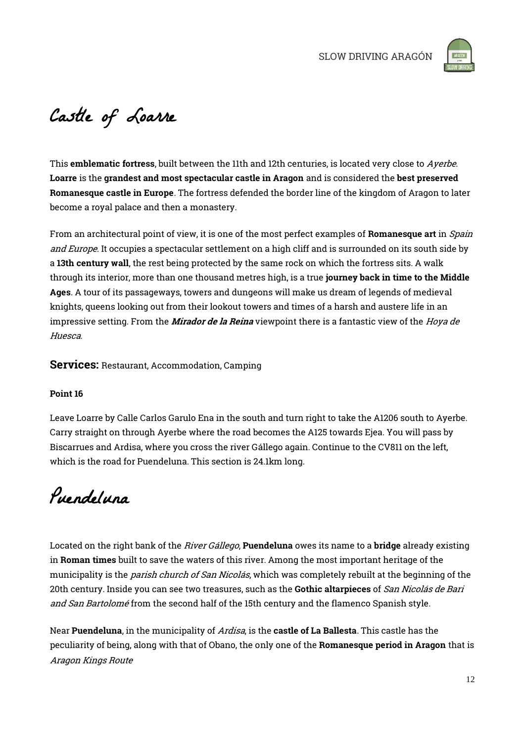

# Castle of Loarre

This emblematic fortress, built between the 11th and 12th centuries, is located very close to Ayerbe. Loarre is the grandest and most spectacular castle in Aragon and is considered the best preserved Romanesque castle in Europe. The fortress defended the border line of the kingdom of Aragon to later become a royal palace and then a monastery.

From an architectural point of view, it is one of the most perfect examples of Romanesque art in Spain and Europe. It occupies a spectacular settlement on a high cliff and is surrounded on its south side by a 13th century wall, the rest being protected by the same rock on which the fortress sits. A walk through its interior, more than one thousand metres high, is a true journey back in time to the Middle Ages. A tour of its passageways, towers and dungeons will make us dream of legends of medieval knights, queens looking out from their lookout towers and times of a harsh and austere life in an impressive setting. From the *Mirador de la Reina* viewpoint there is a fantastic view of the *Hoya de* Huesca.

Services: Restaurant, Accommodation, Camping

### Point 16

Leave Loarre by Calle Carlos Garulo Ena in the south and turn right to take the A1206 south to Ayerbe. Carry straight on through Ayerbe where the road becomes the A125 towards Ejea. You will pass by Biscarrues and Ardisa, where you cross the river Gállego again. Continue to the CV811 on the left, which is the road for Puendeluna. This section is 24.1km long.

Puendeluna

Located on the right bank of the *River Gállego*, **Puendeluna** owes its name to a **bridge** already existing in Roman times built to save the waters of this river. Among the most important heritage of the municipality is the *parish church of San Nicolás*, which was completely rebuilt at the beginning of the 20th century. Inside you can see two treasures, such as the Gothic altarpieces of San Nicolás de Bari and San Bartolomé from the second half of the 15th century and the flamenco Spanish style.

Aragon Kings Route Near Puendeluna, in the municipality of Ardisa, is the castle of La Ballesta. This castle has the peculiarity of being, along with that of Obano, the only one of the Romanesque period in Aragon that is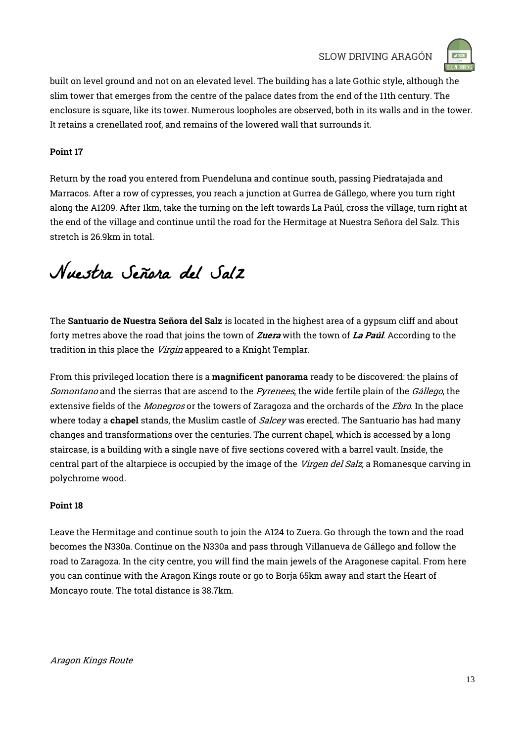

built on level ground and not on an elevated level. The building has a late Gothic style, although the slim tower that emerges from the centre of the palace dates from the end of the 11th century. The enclosure is square, like its tower. Numerous loopholes are observed, both in its walls and in the tower. It retains a crenellated roof, and remains of the lowered wall that surrounds it.

### Point 17

Return by the road you entered from Puendeluna and continue south, passing Piedratajada and Marracos. After a row of cypresses, you reach a junction at Gurrea de Gállego, where you turn right along the A1209. After 1km, take the turning on the left towards La Paúl, cross the village, turn right at the end of the village and continue until the road for the Hermitage at Nuestra Señora del Salz. This stretch is 26.9km in total.

# Nuestra Señora del Salz

The Santuario de Nuestra Señora del Salz is located in the highest area of a gypsum cliff and about forty metres above the road that joins the town of Zuera with the town of La Paúl. According to the tradition in this place the Virgin appeared to a Knight Templar.

From this privileged location there is a **magnificent panorama** ready to be discovered: the plains of Somontano and the sierras that are ascend to the *Pyrenees*, the wide fertile plain of the *Gállego*, the extensive fields of the *Monegros* or the towers of Zaragoza and the orchards of the *Ebro*. In the place where today a **chapel** stands, the Muslim castle of *Salcey* was erected. The Santuario has had many changes and transformations over the centuries. The current chapel, which is accessed by a long staircase, is a building with a single nave of five sections covered with a barrel vault. Inside, the central part of the altarpiece is occupied by the image of the Virgen del Salz, a Romanesque carving in polychrome wood.

### Point 18

Leave the Hermitage and continue south to join the A124 to Zuera. Go through the town and the road becomes the N330a. Continue on the N330a and pass through Villanueva de Gállego and follow the road to Zaragoza. In the city centre, you will find the main jewels of the Aragonese capital. From here you can continue with the Aragon Kings route or go to Borja 65km away and start the Heart of Moncayo route. The total distance is 38.7km.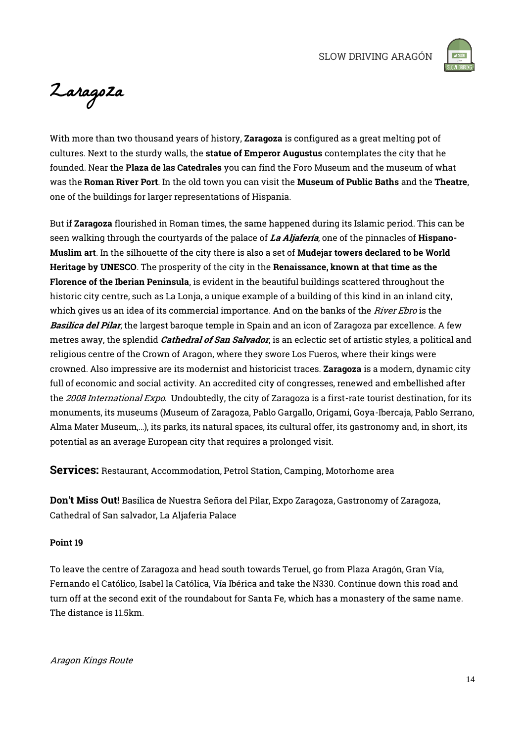

Zaragoza

With more than two thousand years of history, Zaragoza is configured as a great melting pot of cultures. Next to the sturdy walls, the **statue of Emperor Augustus** contemplates the city that he founded. Near the Plaza de las Catedrales you can find the Foro Museum and the museum of what was the Roman River Port. In the old town you can visit the Museum of Public Baths and the Theatre, one of the buildings for larger representations of Hispania.

But if Zaragoza flourished in Roman times, the same happened during its Islamic period. This can be seen walking through the courtyards of the palace of La Aljafería, one of the pinnacles of Hispano-Muslim art. In the silhouette of the city there is also a set of Mudejar towers declared to be World Heritage by UNESCO. The prosperity of the city in the Renaissance, known at that time as the Florence of the Iberian Peninsula, is evident in the beautiful buildings scattered throughout the historic city centre, such as La Lonja, a unique example of a building of this kind in an inland city, which gives us an idea of its commercial importance. And on the banks of the *River Ebro* is the Basilica del Pilar, the largest baroque temple in Spain and an icon of Zaragoza par excellence. A few metres away, the splendid *Cathedral of San Salvador*, is an eclectic set of artistic styles, a political and religious centre of the Crown of Aragon, where they swore Los Fueros, where their kings were crowned. Also impressive are its modernist and historicist traces. Zaragoza is a modern, dynamic city full of economic and social activity. An accredited city of congresses, renewed and embellished after the 2008 International Expo. Undoubtedly, the city of Zaragoza is a first-rate tourist destination, for its monuments, its museums (Museum of Zaragoza, Pablo Gargallo, Origami, Goya-Ibercaja, Pablo Serrano, Alma Mater Museum,…), its parks, its natural spaces, its cultural offer, its gastronomy and, in short, its potential as an average European city that requires a prolonged visit.

Services: Restaurant, Accommodation, Petrol Station, Camping, Motorhome area

Don't Miss Out! Basilica de Nuestra Señora del Pilar, Expo Zaragoza, Gastronomy of Zaragoza, Cathedral of San salvador, La Aljaferia Palace

### Point 19

To leave the centre of Zaragoza and head south towards Teruel, go from Plaza Aragón, Gran Vía, Fernando el Católico, Isabel la Católica, Vía Ibérica and take the N330. Continue down this road and turn off at the second exit of the roundabout for Santa Fe, which has a monastery of the same name. The distance is 11.5km.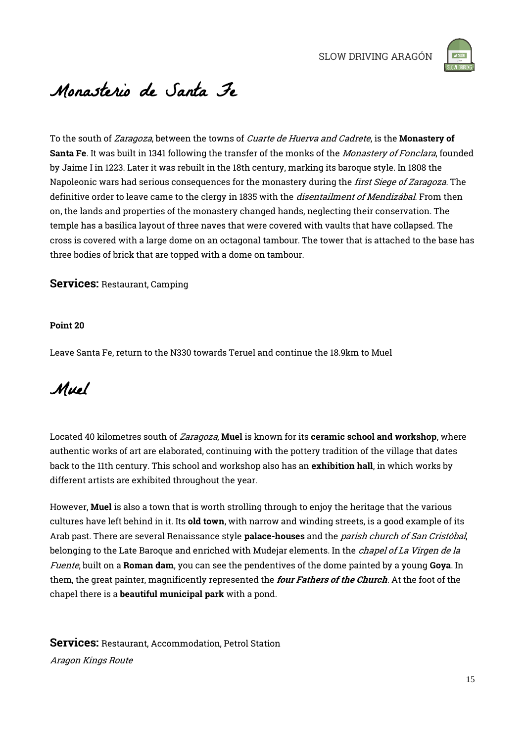

## Monasterio de Santa Fe

To the south of *Zaragoza*, between the towns of *Cuarte de Huerva and Cadrete*, is the **Monastery of** Santa Fe. It was built in 1341 following the transfer of the monks of the *Monastery of Fonclara*, founded by Jaime I in 1223. Later it was rebuilt in the 18th century, marking its baroque style. In 1808 the Napoleonic wars had serious consequences for the monastery during the *first Siege of Zaragoza*. The definitive order to leave came to the clergy in 1835 with the *disentailment of Mendizábal*. From then on, the lands and properties of the monastery changed hands, neglecting their conservation. The temple has a basilica layout of three naves that were covered with vaults that have collapsed. The cross is covered with a large dome on an octagonal tambour. The tower that is attached to the base has three bodies of brick that are topped with a dome on tambour.

Services: Restaurant, Camping

#### Point 20

Leave Santa Fe, return to the N330 towards Teruel and continue the 18.9km to Muel

### Muel

Located 40 kilometres south of Zaragoza, Muel is known for its ceramic school and workshop, where authentic works of art are elaborated, continuing with the pottery tradition of the village that dates back to the 11th century. This school and workshop also has an exhibition hall, in which works by different artists are exhibited throughout the year.

However, Muel is also a town that is worth strolling through to enjoy the heritage that the various cultures have left behind in it. Its old town, with narrow and winding streets, is a good example of its Arab past. There are several Renaissance style **palace-houses** and the *parish church of San Cristóbal*, belonging to the Late Baroque and enriched with Mudejar elements. In the *chapel of La Virgen de la* Fuente, built on a Roman dam, you can see the pendentives of the dome painted by a young Goya. In them, the great painter, magnificently represented the four Fathers of the Church. At the foot of the chapel there is a beautiful municipal park with a pond.

Aragon Kings Route Services: Restaurant, Accommodation, Petrol Station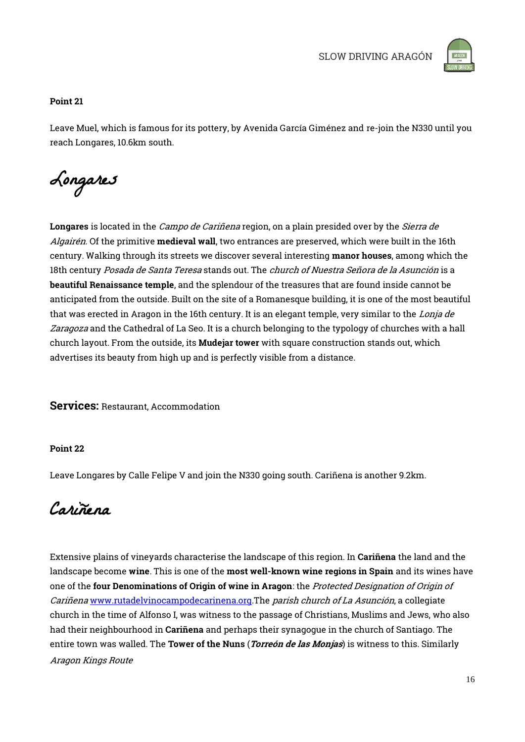

### Point 21

Leave Muel, which is famous for its pottery, by Avenida García Giménez and re-join the N330 until you reach Longares, 10.6km south.

Longares

Longares is located in the *Campo de Cariñena* region, on a plain presided over by the *Sierra de* Algairén. Of the primitive medieval wall, two entrances are preserved, which were built in the 16th century. Walking through its streets we discover several interesting manor houses, among which the 18th century Posada de Santa Teresa stands out. The church of Nuestra Señora de la Asunción is a beautiful Renaissance temple, and the splendour of the treasures that are found inside cannot be anticipated from the outside. Built on the site of a Romanesque building, it is one of the most beautiful that was erected in Aragon in the 16th century. It is an elegant temple, very similar to the Lonja de Zaragoza and the Cathedral of La Seo. It is a church belonging to the typology of churches with a hall church layout. From the outside, its **Mudejar tower** with square construction stands out, which advertises its beauty from high up and is perfectly visible from a distance.

Services: Restaurant, Accommodation

### Point 22

Leave Longares by Calle Felipe V and join the N330 going south. Cariñena is another 9.2km.

Cariñena

Aragon Kings Route Extensive plains of vineyards characterise the landscape of this region. In Cariñena the land and the landscape become wine. This is one of the most well-known wine regions in Spain and its wines have one of the four Denominations of Origin of wine in Aragon: the Protected Designation of Origin of Cariñena [www.rutadelvinocampodecarinena.org.](http://www.rutadelvinocampodecarinena.org/)The *parish church of La Asunción*, a collegiate church in the time of Alfonso I, was witness to the passage of Christians, Muslims and Jews, who also had their neighbourhood in Cariñena and perhaps their synagogue in the church of Santiago. The entire town was walled. The Tower of the Nuns (*Torreón de las Monjas*) is witness to this. Similarly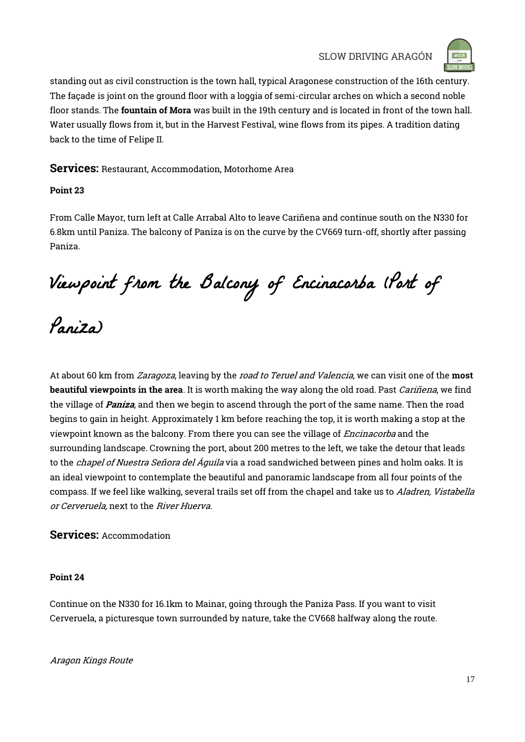

standing out as civil construction is the town hall, typical Aragonese construction of the 16th century. The façade is joint on the ground floor with a loggia of semi-circular arches on which a second noble floor stands. The fountain of Mora was built in the 19th century and is located in front of the town hall. Water usually flows from it, but in the Harvest Festival, wine flows from its pipes. A tradition dating back to the time of Felipe II.

### Services: Restaurant, Accommodation, Motorhome Area

### Point 23

From Calle Mayor, turn left at Calle Arrabal Alto to leave Cariñena and continue south on the N330 for 6.8km until Paniza. The balcony of Paniza is on the curve by the CV669 turn-off, shortly after passing Paniza.

Viewpoint from the Balcony of Encinacorba (Port of

Paniza)

At about 60 km from *Zaragoza*, leaving by the *road to Teruel and Valencia*, we can visit one of the **most** beautiful viewpoints in the area. It is worth making the way along the old road. Past *Cariñena*, we find the village of *Paniza*, and then we begin to ascend through the port of the same name. Then the road begins to gain in height. Approximately 1 km before reaching the top, it is worth making a stop at the viewpoint known as the balcony. From there you can see the village of *Encinacorba* and the surrounding landscape. Crowning the port, about 200 metres to the left, we take the detour that leads to the *chapel of Nuestra Señora del Áquila* via a road sandwiched between pines and holm oaks. It is an ideal viewpoint to contemplate the beautiful and panoramic landscape from all four points of the compass. If we feel like walking, several trails set off from the chapel and take us to Aladren, Vistabella or Cerveruela, next to the River Huerva.

### Services: Accommodation

### Point 24

Continue on the N330 for 16.1km to Mainar, going through the Paniza Pass. If you want to visit Cerveruela, a picturesque town surrounded by nature, take the CV668 halfway along the route.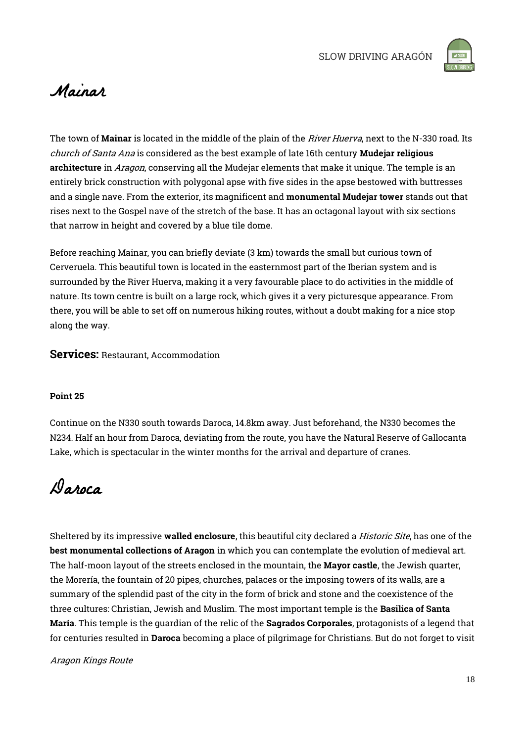

### Mainar

The town of Mainar is located in the middle of the plain of the *River Huerva*, next to the N-330 road. Its church of Santa Ana is considered as the best example of late 16th century **Mudejar religious** architecture in Aragon, conserving all the Mudejar elements that make it unique. The temple is an entirely brick construction with polygonal apse with five sides in the apse bestowed with buttresses and a single nave. From the exterior, its magnificent and monumental Mudejar tower stands out that rises next to the Gospel nave of the stretch of the base. It has an octagonal layout with six sections that narrow in height and covered by a blue tile dome.

Before reaching Mainar, you can briefly deviate (3 km) towards the small but curious town of Cerveruela. This beautiful town is located in the easternmost part of the Iberian system and is surrounded by the River Huerva, making it a very favourable place to do activities in the middle of nature. Its town centre is built on a large rock, which gives it a very picturesque appearance. From there, you will be able to set off on numerous hiking routes, without a doubt making for a nice stop along the way.

### Services: Restaurant, Accommodation

### Point 25

Continue on the N330 south towards Daroca, 14.8km away. Just beforehand, the N330 becomes the N234. Half an hour from Daroca, deviating from the route, you have the Natural Reserve of Gallocanta Lake, which is spectacular in the winter months for the arrival and departure of cranes.

Daroca

Sheltered by its impressive **walled enclosure**, this beautiful city declared a *Historic Site*, has one of the best monumental collections of Aragon in which you can contemplate the evolution of medieval art. The half-moon layout of the streets enclosed in the mountain, the **Mayor castle**, the Jewish quarter, the Morería, the fountain of 20 pipes, churches, palaces or the imposing towers of its walls, are a summary of the splendid past of the city in the form of brick and stone and the coexistence of the three cultures: Christian, Jewish and Muslim. The most important temple is the Basilica of Santa María. This temple is the guardian of the relic of the Sagrados Corporales, protagonists of a legend that for centuries resulted in Daroca becoming a place of pilgrimage for Christians. But do not forget to visit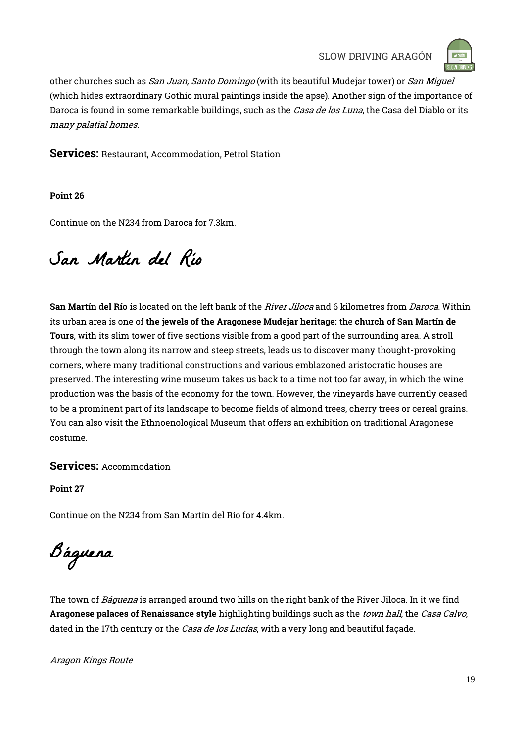

other churches such as San Juan, Santo Domingo (with its beautiful Mudejar tower) or San Miguel (which hides extraordinary Gothic mural paintings inside the apse). Another sign of the importance of Daroca is found in some remarkable buildings, such as the Casa de los Luna, the Casa del Diablo or its many palatial homes.

Services: Restaurant, Accommodation, Petrol Station

Point 26

Continue on the N234 from Daroca for 7.3km.

# San Martín del Río

San Martín del Río is located on the left bank of the *River Jiloca* and 6 kilometres from *Daroca*. Within its urban area is one of the jewels of the Aragonese Mudejar heritage: the church of San Martín de Tours, with its slim tower of five sections visible from a good part of the surrounding area. A stroll through the town along its narrow and steep streets, leads us to discover many thought-provoking corners, where many traditional constructions and various emblazoned aristocratic houses are preserved. The interesting wine museum takes us back to a time not too far away, in which the wine production was the basis of the economy for the town. However, the vineyards have currently ceased to be a prominent part of its landscape to become fields of almond trees, cherry trees or cereal grains. You can also visit the Ethnoenological Museum that offers an exhibition on traditional Aragonese costume.

### Services: Accommodation

Point 27

Continue on the N234 from San Martín del Río for 4.4km.

Báguena

The town of *Báquena* is arranged around two hills on the right bank of the River Jiloca. In it we find Aragonese palaces of Renaissance style highlighting buildings such as the *town hall*, the *Casa Calvo*, dated in the 17th century or the *Casa de los Lucías*, with a very long and beautiful façade.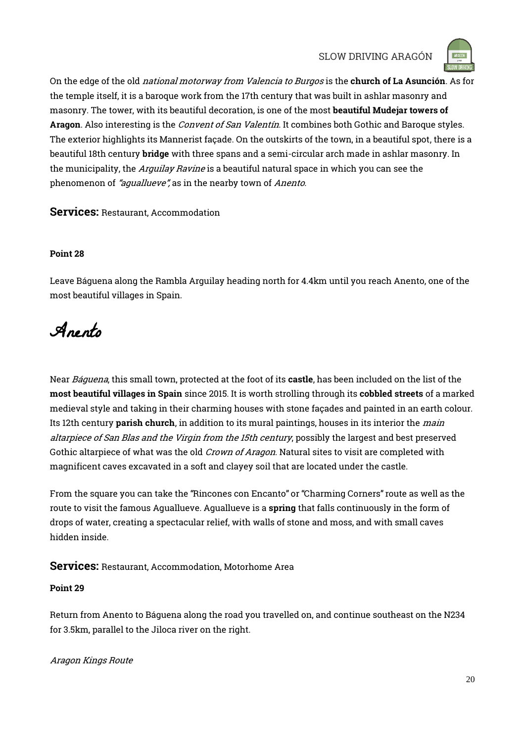

On the edge of the old national motorway from Valencia to Burgos is the church of La Asunción. As for the temple itself, it is a baroque work from the 17th century that was built in ashlar masonry and masonry. The tower, with its beautiful decoration, is one of the most beautiful Mudejar towers of Aragon. Also interesting is the *Convent of San Valentín*. It combines both Gothic and Baroque styles. The exterior highlights its Mannerist façade. On the outskirts of the town, in a beautiful spot, there is a beautiful 18th century bridge with three spans and a semi-circular arch made in ashlar masonry. In the municipality, the Arguilay Ravine is a beautiful natural space in which you can see the phenomenon of "aguallueve", as in the nearby town of Anento.

### Services: Restaurant, Accommodation

### Point 28

Leave Báguena along the Rambla Arguilay heading north for 4.4km until you reach Anento, one of the most beautiful villages in Spain.

Anento

Near Báquena, this small town, protected at the foot of its castle, has been included on the list of the most beautiful villages in Spain since 2015. It is worth strolling through its cobbled streets of a marked medieval style and taking in their charming houses with stone façades and painted in an earth colour. Its 12th century parish church, in addition to its mural paintings, houses in its interior the main altarpiece of San Blas and the Virgin from the 15th century, possibly the largest and best preserved Gothic altarpiece of what was the old *Crown of Aragon*. Natural sites to visit are completed with magnificent caves excavated in a soft and clayey soil that are located under the castle.

From the square you can take the "Rincones con Encanto" or "Charming Corners" route as well as the route to visit the famous Aguallueve. Aguallueve is a spring that falls continuously in the form of drops of water, creating a spectacular relief, with walls of stone and moss, and with small caves hidden inside.

Services: Restaurant, Accommodation, Motorhome Area

### Point 29

Return from Anento to Báguena along the road you travelled on, and continue southeast on the N234 for 3.5km, parallel to the Jiloca river on the right.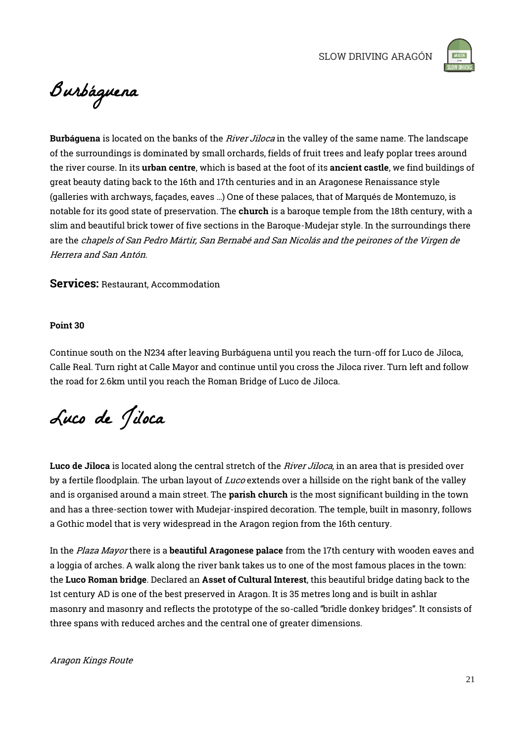

Burbáguena

Burbáguena is located on the banks of the River Jiloca in the valley of the same name. The landscape of the surroundings is dominated by small orchards, fields of fruit trees and leafy poplar trees around the river course. In its urban centre, which is based at the foot of its ancient castle, we find buildings of great beauty dating back to the 16th and 17th centuries and in an Aragonese Renaissance style (galleries with archways, façades, eaves …) One of these palaces, that of Marqués de Montemuzo, is notable for its good state of preservation. The church is a baroque temple from the 18th century, with a slim and beautiful brick tower of five sections in the Baroque-Mudejar style. In the surroundings there are the chapels of San Pedro Mártir, San Bernabé and San Nicolás and the peirones of the Virgen de Herrera and San Antón.

Services: Restaurant, Accommodation

#### Point 30

Continue south on the N234 after leaving Burbáguena until you reach the turn-off for Luco de Jiloca, Calle Real. Turn right at Calle Mayor and continue until you cross the Jiloca river. Turn left and follow the road for 2.6km until you reach the Roman Bridge of Luco de Jiloca.

Luco de Jiloca

Luco de Jiloca is located along the central stretch of the *River Jiloca*, in an area that is presided over by a fertile floodplain. The urban layout of Luco extends over a hillside on the right bank of the valley and is organised around a main street. The **parish church** is the most significant building in the town and has a three-section tower with Mudejar-inspired decoration. The temple, built in masonry, follows a Gothic model that is very widespread in the Aragon region from the 16th century.

In the Plaza Mayor there is a **beautiful Aragonese palace** from the 17th century with wooden eaves and a loggia of arches. A walk along the river bank takes us to one of the most famous places in the town: the Luco Roman bridge. Declared an Asset of Cultural Interest, this beautiful bridge dating back to the 1st century AD is one of the best preserved in Aragon. It is 35 metres long and is built in ashlar masonry and masonry and reflects the prototype of the so-called "bridle donkey bridges". It consists of three spans with reduced arches and the central one of greater dimensions.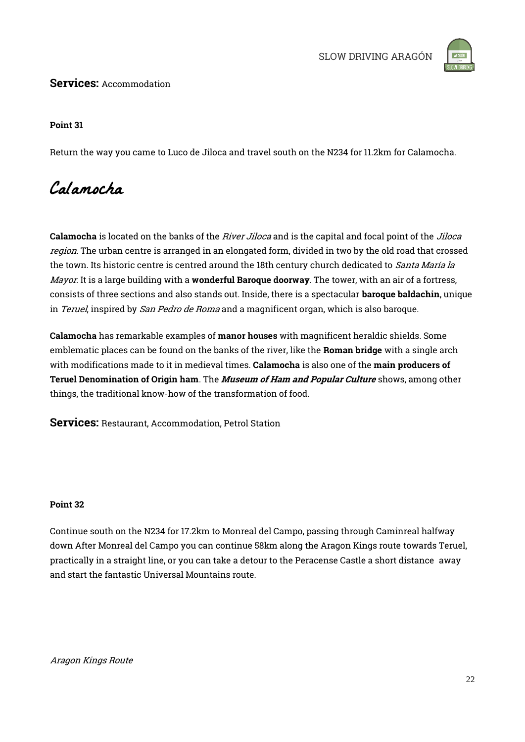

### Services: Accommodation

### Point 31

Return the way you came to Luco de Jiloca and travel south on the N234 for 11.2km for Calamocha.

### Calamocha

Calamocha is located on the banks of the *River Jiloca* and is the capital and focal point of the *Jiloca* region. The urban centre is arranged in an elongated form, divided in two by the old road that crossed the town. Its historic centre is centred around the 18th century church dedicated to Santa María la Mayor. It is a large building with a wonderful Baroque doorway. The tower, with an air of a fortress, consists of three sections and also stands out. Inside, there is a spectacular baroque baldachin, unique in *Teruel*, inspired by *San Pedro de Roma* and a magnificent organ, which is also baroque.

Calamocha has remarkable examples of manor houses with magnificent heraldic shields. Some emblematic places can be found on the banks of the river, like the **Roman bridge** with a single arch with modifications made to it in medieval times. Calamocha is also one of the main producers of Teruel Denomination of Origin ham. The Museum of Ham and Popular Culture shows, among other things, the traditional know-how of the transformation of food.

Services: Restaurant, Accommodation, Petrol Station

### Point 32

Continue south on the N234 for 17.2km to Monreal del Campo, passing through Caminreal halfway down After Monreal del Campo you can continue 58km along the Aragon Kings route towards Teruel, practically in a straight line, or you can take a detour to the Peracense Castle a short distance away and start the fantastic Universal Mountains route.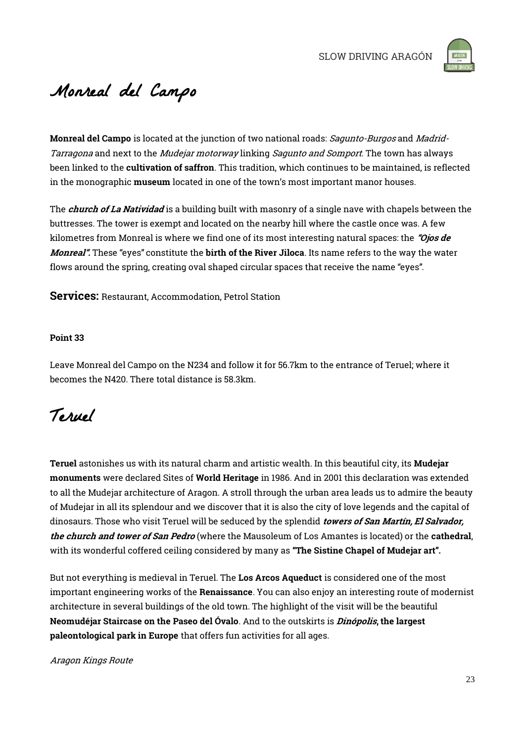

# Monreal del Campo

Monreal del Campo is located at the junction of two national roads: *Sagunto-Burgos* and Madrid-Tarragona and next to the *Mudejar motorway* linking *Sagunto and Somport*. The town has always been linked to the cultivation of saffron. This tradition, which continues to be maintained, is reflected in the monographic museum located in one of the town's most important manor houses.

The *church of La Natividad* is a building built with masonry of a single nave with chapels between the buttresses. The tower is exempt and located on the nearby hill where the castle once was. A few kilometres from Monreal is where we find one of its most interesting natural spaces: the "Ojos de Monreal". These "eyes" constitute the birth of the River Jiloca. Its name refers to the way the water flows around the spring, creating oval shaped circular spaces that receive the name "eyes".

Services: Restaurant, Accommodation, Petrol Station

#### Point 33

Leave Monreal del Campo on the N234 and follow it for 56.7km to the entrance of Teruel; where it becomes the N420. There total distance is 58.3km.

## Teruel

Teruel astonishes us with its natural charm and artistic wealth. In this beautiful city, its Mudejar monuments were declared Sites of World Heritage in 1986. And in 2001 this declaration was extended to all the Mudejar architecture of Aragon. A stroll through the urban area leads us to admire the beauty of Mudejar in all its splendour and we discover that it is also the city of love legends and the capital of dinosaurs. Those who visit Teruel will be seduced by the splendid *towers of San Martín, El Salvador*, the church and tower of San Pedro (where the Mausoleum of Los Amantes is located) or the cathedral, with its wonderful coffered ceiling considered by many as "The Sistine Chapel of Mudejar art".

But not everything is medieval in Teruel. The Los Arcos Aqueduct is considered one of the most important engineering works of the Renaissance. You can also enjoy an interesting route of modernist architecture in several buildings of the old town. The highlight of the visit will be the beautiful Neomudéjar Staircase on the Paseo del Óvalo. And to the outskirts is *Dinópolis*, the largest paleontological park in Europe that offers fun activities for all ages.